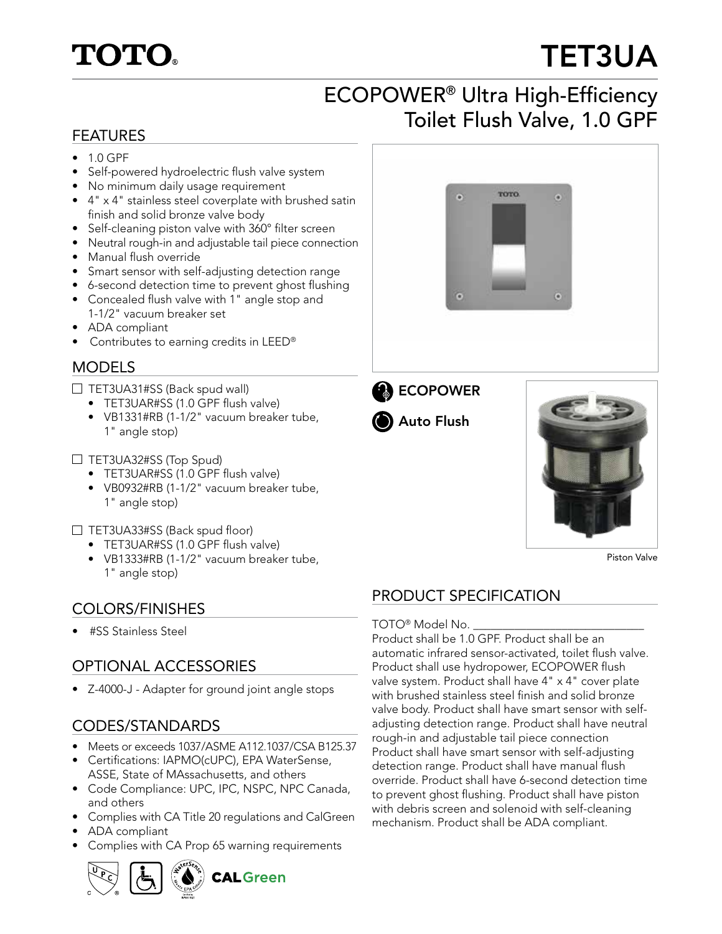## **TOTO**

# TET3UA

## ECOPOWER® Ultra High-Efficiency FEATURES **FEATURES**

**TOTO** 

- 1.0 GPF
- Self-powered hydroelectric flush valve system
- No minimum daily usage requirement
- 4" x 4" stainless steel coverplate with brushed satin finish and solid bronze valve body
- Self-cleaning piston valve with 360° filter screen
- Neutral rough-in and adjustable tail piece connection
- Manual flush override
- Smart sensor with self-adjusting detection range
- 6-second detection time to prevent ghost flushing
- Concealed flush valve with 1" angle stop and 1-1/2" vacuum breaker set
- ADA compliant
- Contributes to earning credits in LEED®

#### MODELS

- $\Box$  TET3UA31#SS (Back spud wall)
	- TET3UAR#SS (1.0 GPF flush valve)
	- VB1331#RB (1-1/2" vacuum breaker tube, 1" angle stop)
- 

 $\bullet$ 



Piston Valve

### PRODUCT SPECIFICATION

#### TOTO<sup>®</sup> Model No.

Product shall be 1.0 GPF. Product shall be an automatic infrared sensor-activated, toilet flush valve. Product shall use hydropower, ECOPOWER flush valve system. Product shall have 4" x 4" cover plate with brushed stainless steel finish and solid bronze valve body. Product shall have smart sensor with selfadjusting detection range. Product shall have neutral rough-in and adjustable tail piece connection Product shall have smart sensor with self-adjusting detection range. Product shall have manual flush override. Product shall have 6-second detection time to prevent ghost flushing. Product shall have piston with debris screen and solenoid with self-cleaning mechanism. Product shall be ADA compliant.

- $\Box$  TET3UA32#SS (Top Spud)
	- TET3UAR#SS (1.0 GPF flush valve)
	- VB0932#RB (1-1/2" vacuum breaker tube, 1" angle stop)

 $\Box$  TET3UA33#SS (Back spud floor)

- TET3UAR#SS (1.0 GPF flush valve)
- VB1333#RB (1-1/2" vacuum breaker tube, 1" angle stop)

#### COLORS/FINISHES

• #SS Stainless Steel

#### OPTIONAL ACCESSORIES

• Z-4000-J - Adapter for ground joint angle stops

#### CODES/STANDARDS

- Meets or exceeds 1037/ASME A112.1037/CSA B125.37
- Certifications: IAPMO(cUPC), EPA WaterSense, ASSE, State of MAssachusetts, and others
- Code Compliance: UPC, IPC, NSPC, NPC Canada, and others
- Complies with CA Title 20 regulations and CalGreen
- ADA compliant
- Complies with CA Prop 65 warning requirements









Auto Flush